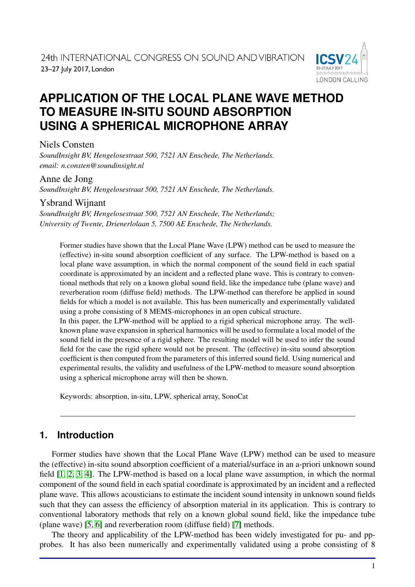

# **APPLICATION OF THE LOCAL PLANE WAVE METHOD TO MEASURE IN-SITU SOUND ABSORPTION USING A SPHERICAL MICROPHONE ARRAY**

## Niels Consten

*SoundInsight BV, Hengelosestraat 500, 7521 AN Enschede, The Netherlands. email: n.consten@soundinsight.nl*

### Anne de Jong

*SoundInsight BV, Hengelosestraat 500, 7521 AN Enschede, The Netherlands.*

## Ysbrand Wijnant

*SoundInsight BV, Hengelosestraat 500, 7521 AN Enschede, The Netherlands; University of Twente, Drienerlolaan 5, 7500 AE Enschede, The Netherlands.*

Former studies have shown that the Local Plane Wave (LPW) method can be used to measure the (effective) in-situ sound absorption coefficient of any surface. The LPW-method is based on a local plane wave assumption, in which the normal component of the sound field in each spatial coordinate is approximated by an incident and a reflected plane wave. This is contrary to conventional methods that rely on a known global sound field, like the impedance tube (plane wave) and reverberation room (diffuse field) methods. The LPW-method can therefore be applied in sound fields for which a model is not available. This has been numerically and experimentally validated using a probe consisting of 8 MEMS-microphones in an open cubical structure.

In this paper, the LPW-method will be applied to a rigid spherical microphone array. The wellknown plane wave expansion in spherical harmonics will be used to formulate a local model of the sound field in the presence of a rigid sphere. The resulting model will be used to infer the sound field for the case the rigid sphere would not be present. The (effective) in-situ sound absorption coefficient is then computed from the parameters of this inferred sound field. Using numerical and experimental results, the validity and usefulness of the LPW-method to measure sound absorption using a spherical microphone array will then be shown.

Keywords: absorption, in-situ, LPW, spherical array, SonoCat

## **1. Introduction**

Former studies have shown that the Local Plane Wave (LPW) method can be used to measure the (effective) in-situ sound absorption coefficient of a material/surface in an a-priori unknown sound field [\[1,](#page-7-0) [2,](#page-7-1) [3,](#page-7-2) [4\]](#page-7-3). The LPW-method is based on a local plane wave assumption, in which the normal component of the sound field in each spatial coordinate is approximated by an incident and a reflected plane wave. This allows acousticians to estimate the incident sound intensity in unknown sound fields such that they can assess the efficiency of absorption material in its application. This is contrary to conventional laboratory methods that rely on a known global sound field, like the impedance tube (plane wave) [\[5,](#page-7-4) [6\]](#page-7-5) and reverberation room (diffuse field) [\[7\]](#page-7-6) methods.

The theory and applicability of the LPW-method has been widely investigated for pu- and ppprobes. It has also been numerically and experimentally validated using a probe consisting of 8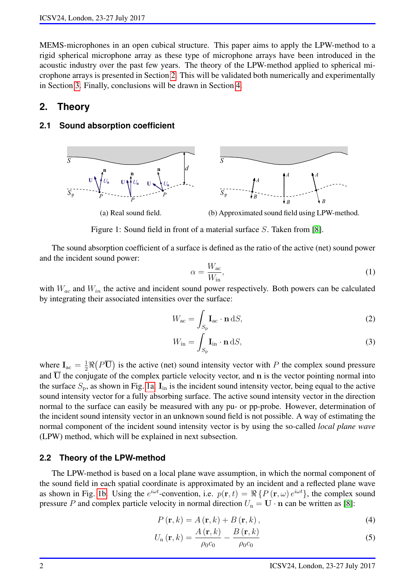MEMS-microphones in an open cubical structure. This paper aims to apply the LPW-method to a rigid spherical microphone array as these type of microphone arrays have been introduced in the acoustic industry over the past few years. The theory of the LPW-method applied to spherical microphone arrays is presented in Section [2.](#page-1-0) This will be validated both numerically and experimentally in Section [3.](#page-4-0) Finally, conclusions will be drawn in Section [4.](#page-6-0) *S*

### <span id="page-1-0"></span>**2. Theory**

#### **2.1 Sound absorption coefficient**

<span id="page-1-1"></span>

Figure 1: Sound field in front of a material surface S. Taken from [\[8\]](#page-7-7).

The sound absorption coefficient of a surface is defined as the ratio of the active (net) sound power and the incident sound power:

<span id="page-1-4"></span><span id="page-1-3"></span><span id="page-1-2"></span>
$$
\alpha = \frac{W_{\rm ac}}{W_{\rm in}},\tag{1}
$$

with  $W_{ac}$  and  $W_{in}$  the active and incident sound power respectively. Both powers can be calculated by integrating their associated intensities over the surface:

$$
W_{\rm ac} = \int_{S_{\rm p}} \mathbf{I}_{\rm ac} \cdot \mathbf{n} \, \mathrm{d}S,\tag{2}
$$

$$
W_{\rm in} = \int_{S_{\rm p}} \mathbf{I}_{\rm in} \cdot \mathbf{n} \, \mathrm{d}S,\tag{3}
$$

where  $I_{\text{ac}} = \frac{1}{2} \Re(P\overline{U})$  is the active (net) sound intensity vector with P the complex sound pressure and  $\overline{U}$  the conjugate of the complex particle velocity vector, and n is the vector pointing normal into the surface  $S_p$ , as shown in Fig. [1a.](#page-1-1)  $I_{in}$  is the incident sound intensity vector, being equal to the active sound intensity vector for a fully absorbing surface. The active sound intensity vector in the direction normal to the surface can easily be measured with any pu- or pp-probe. However, determination of the incident sound intensity vector in an unknown sound field is not possible. A way of estimating the normal component of the incident sound intensity vector is by using the so-called *local plane wave* (LPW) method, which will be explained in next subsection.

#### <span id="page-1-7"></span>**2.2 Theory of the LPW-method**

The LPW-method is based on a local plane wave assumption, in which the normal component of the sound field in each spatial coordinate is approximated by an incident and a reflected plane wave as shown in Fig. [1b.](#page-1-1) Using the  $e^{i\omega t}$ -convention, i.e.  $p(\mathbf{r}, t) = \Re\{P(\mathbf{r}, \omega)e^{i\omega t}\}$ , the complex sound pressure P and complex particle velocity in normal direction  $U_n = U \cdot n$  can be written as [\[8\]](#page-7-7):

<span id="page-1-6"></span><span id="page-1-5"></span>
$$
P(\mathbf{r},k) = A(\mathbf{r},k) + B(\mathbf{r},k),
$$
\n(4)

$$
U_{\rm n}(\mathbf{r},k) = \frac{A(\mathbf{r},k)}{\rho_0 c_0} - \frac{B(\mathbf{r},k)}{\rho_0 c_0} \tag{5}
$$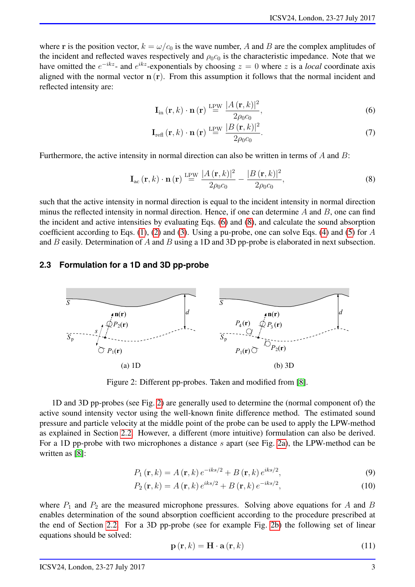where r is the position vector,  $k = \omega/c_0$  is the wave number, A and B are the complex amplitudes of the incident and reflected waves respectively and  $\rho_0 c_0$  is the characteristic impedance. Note that we have omitted the  $e^{-ikz}$ - and  $e^{ikz}$ -exponentials by choosing  $z = 0$  where z is a *local* coordinate axis aligned with the normal vector  $n(r)$ . From this assumption it follows that the normal incident and reflected intensity are:

<span id="page-2-0"></span>
$$
\mathbf{I}_{\text{in}}\left(\mathbf{r},k\right)\cdot\mathbf{n}\left(\mathbf{r}\right)\stackrel{\text{LPW}}{=}\frac{|A\left(\mathbf{r},k\right)|^2}{2\rho_0c_0},\tag{6}
$$

<span id="page-2-1"></span>
$$
\mathbf{I}_{\text{refl}}\left(\mathbf{r},k\right)\cdot\mathbf{n}\left(\mathbf{r}\right)\stackrel{\text{LPW}}{=}\frac{|B\left(\mathbf{r},k\right)|^2}{2\rho_0c_0}.\tag{7}
$$

Furthermore, the active intensity in normal direction can also be written in terms of A and B:

$$
\mathbf{I}_{\text{ac}}\left(\mathbf{r},k\right)\cdot\mathbf{n}\left(\mathbf{r}\right)\stackrel{\text{LPW}}{=}\frac{|A\left(\mathbf{r},k\right)|^2}{2\rho_0c_0}-\frac{|B\left(\mathbf{r},k\right)|^2}{2\rho_0c_0},\tag{8}
$$

such that the active intensity in normal direction is equal to the incident intensity in normal direction minus the reflected intensity in normal direction. Hence, if one can determine  $A$  and  $B$ , one can find the incident and active intensities by evaluating Eqs. [\(6\)](#page-2-0) and [\(8\)](#page-2-1), and calculate the sound absorption coefficient according to Eqs. [\(1\)](#page-1-2), [\(2\)](#page-1-3) and [\(3\)](#page-1-4). Using a pu-probe, one can solve Eqs. [\(4\)](#page-1-5) and [\(5\)](#page-1-6) for  $A$ and  $B$  easily. Determination of  $A$  and  $B$  using a 1D and 3D pp-probe is elaborated in next subsection.

#### <span id="page-2-3"></span>**2.3 Formulation for a 1D and 3D pp-probe**

<span id="page-2-2"></span>

Figure 2: Different pp-probes. Taken and modified from [\[8\]](#page-7-7).

1D and 3D pp-probes (see Fig. [2\)](#page-2-2) are generally used to determine the (normal component of) the active sound intensity vector using the well-known finite difference method. The estimated sound pressure and particle velocity at the middle point of the probe can be used to apply the LPW-method as explained in Section [2.2.](#page-1-7) However, a different (more intuitive) formulation can also be derived. For a 1D pp-probe with two microphones a distance s apart (see Fig. [2a\)](#page-2-2), the LPW-method can be written as [\[8\]](#page-7-7):

$$
P_1(\mathbf{r},k) = A(\mathbf{r},k) e^{-iks/2} + B(\mathbf{r},k) e^{iks/2},
$$
\n(9)

$$
P_2(\mathbf{r},k) = A(\mathbf{r},k) e^{iks/2} + B(\mathbf{r},k) e^{-iks/2},
$$
\n(10)

where  $P_1$  and  $P_2$  are the measured microphone pressures. Solving above equations for A and B enables determination of the sound absorption coefficient according to the procedure prescribed at the end of Section [2.2.](#page-1-7) For a 3D pp-probe (see for example Fig. [2b\)](#page-2-2) the following set of linear equations should be solved:

$$
\mathbf{p}(\mathbf{r},k) = \mathbf{H} \cdot \mathbf{a}(\mathbf{r},k) \tag{11}
$$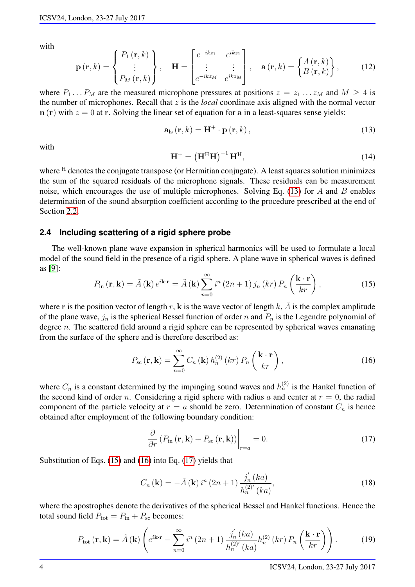with

$$
\mathbf{p}(\mathbf{r},k) = \begin{Bmatrix} P_1(\mathbf{r},k) \\ \vdots \\ P_M(\mathbf{r},k) \end{Bmatrix}, \quad \mathbf{H} = \begin{bmatrix} e^{-ikz_1} & e^{ikz_1} \\ \vdots & \vdots \\ e^{-ikz_M} & e^{ikz_M} \end{bmatrix}, \quad \mathbf{a}(\mathbf{r},k) = \begin{Bmatrix} A(\mathbf{r},k) \\ B(\mathbf{r},k) \end{Bmatrix}, \quad (12)
$$

where  $P_1 \nvert P_M$  are the measured microphone pressures at positions  $z = z_1 \nvert Z_M$  and  $M \ge 4$  is the number of microphones. Recall that z is the *local* coordinate axis aligned with the normal vector  $n(r)$  with  $z = 0$  at r. Solving the linear set of equation for a in a least-squares sense yields:

$$
\mathbf{a}_{\text{ls}}\left(\mathbf{r},k\right) = \mathbf{H}^+ \cdot \mathbf{p}\left(\mathbf{r},k\right),\tag{13}
$$

with

<span id="page-3-0"></span>
$$
\mathbf{H}^+ = \left(\mathbf{H}^{\mathrm{H}} \mathbf{H}\right)^{-1} \mathbf{H}^{\mathrm{H}},\tag{14}
$$

where <sup>H</sup> denotes the conjugate transpose (or Hermitian conjugate). A least squares solution minimizes the sum of the squared residuals of the microphone signals. These residuals can be measurement noise, which encourages the use of multiple microphones. Solving Eq. [\(13\)](#page-3-0) for A and B enables determination of the sound absorption coefficient according to the procedure prescribed at the end of Section [2.2.](#page-1-7)

#### <span id="page-3-4"></span>**2.4 Including scattering of a rigid sphere probe**

<span id="page-3-1"></span>The well-known plane wave expansion in spherical harmonics will be used to formulate a local model of the sound field in the presence of a rigid sphere. A plane wave in spherical waves is defined as [\[9\]](#page-7-8):

$$
P_{\text{in}}\left(\mathbf{r},\mathbf{k}\right) = \tilde{A}\left(\mathbf{k}\right)e^{i\mathbf{k}\cdot\mathbf{r}} = \tilde{A}\left(\mathbf{k}\right)\sum_{n=0}^{\infty} i^n\left(2n+1\right)j_n\left(kr\right)P_n\left(\frac{\mathbf{k}\cdot\mathbf{r}}{kr}\right),\tag{15}
$$

where r is the position vector of length r, k is the wave vector of length k,  $\tilde{A}$  is the complex amplitude of the plane wave,  $j_n$  is the spherical Bessel function of order n and  $P_n$  is the Legendre polynomial of degree  $n$ . The scattered field around a rigid sphere can be represented by spherical waves emanating from the surface of the sphere and is therefore described as:

<span id="page-3-2"></span>
$$
P_{\rm sc}(\mathbf{r}, \mathbf{k}) = \sum_{n=0}^{\infty} C_n(\mathbf{k}) h_n^{(2)}\left(kr\right) P_n\left(\frac{\mathbf{k} \cdot \mathbf{r}}{kr}\right),\tag{16}
$$

where  $C_n$  is a constant determined by the impinging sound waves and  $h_n^{(2)}$  is the Hankel function of the second kind of order n. Considering a rigid sphere with radius a and center at  $r = 0$ , the radial component of the particle velocity at  $r = a$  should be zero. Determination of constant  $C_n$  is hence obtained after employment of the following boundary condition:

<span id="page-3-3"></span>
$$
\frac{\partial}{\partial r} \left( P_{\text{in}}(\mathbf{r}, \mathbf{k}) + P_{\text{sc}}(\mathbf{r}, \mathbf{k}) \right) \Big|_{r=a} = 0. \tag{17}
$$

Substitution of Eqs. [\(15\)](#page-3-1) and [\(16\)](#page-3-2) into Eq. [\(17\)](#page-3-3) yields that

$$
C_n(\mathbf{k}) = -\tilde{A}(\mathbf{k}) i^n (2n+1) \frac{j'_n(ka)}{h_n^{(2)'}(ka)},
$$
\n(18)

where the apostrophes denote the derivatives of the spherical Bessel and Hankel functions. Hence the total sound field  $P_{\text{tot}} = P_{\text{in}} + P_{\text{sc}}$  becomes:

$$
P_{\text{tot}}\left(\mathbf{r},\mathbf{k}\right) = \tilde{A}\left(\mathbf{k}\right) \left(e^{i\mathbf{k}\cdot\mathbf{r}} - \sum_{n=0}^{\infty} i^n \left(2n+1\right) \frac{j_n^{'}(ka)}{h_n^{(2)'}(ka)} h_n^{(2)}\left(kr\right) P_n\left(\frac{\mathbf{k}\cdot\mathbf{r}}{kr}\right)\right). \tag{19}
$$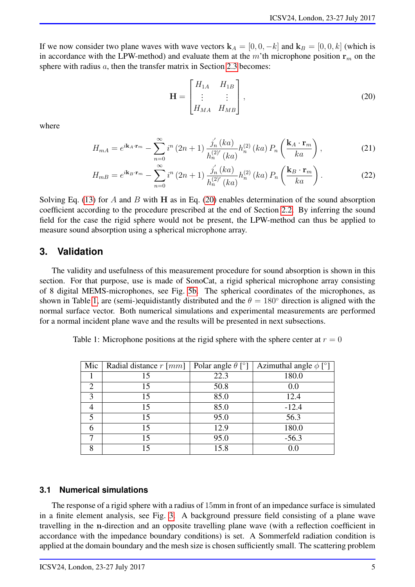If we now consider two plane waves with wave vectors  $\mathbf{k}_A = [0, 0, -k]$  and  $\mathbf{k}_B = [0, 0, k]$  (which is in accordance with the LPW-method) and evaluate them at the m'th microphone position  $r_m$  on the sphere with radius a, then the transfer matrix in Section [2.3](#page-2-3) becomes:

<span id="page-4-1"></span>
$$
\mathbf{H} = \begin{bmatrix} H_{1A} & H_{1B} \\ \vdots & \vdots \\ H_{MA} & H_{MB} \end{bmatrix},\tag{20}
$$

where

$$
H_{mA} = e^{i\mathbf{k}_A \cdot \mathbf{r}_m} - \sum_{n=0}^{\infty} i^n (2n+1) \frac{j'_n (ka)}{h_n^{(2)'} (ka)} h_n^{(2)} (ka) P_n \left(\frac{\mathbf{k}_A \cdot \mathbf{r}_m}{ka}\right), \tag{21}
$$

$$
H_{m} = e^{i\mathbf{k}_{B}\cdot\mathbf{r}_{m}} - \sum_{n=0}^{\infty} i^{n} (2n+1) \frac{j_{n}'(ka)}{h_{n}^{(2)'}(ka)} h_{n}^{(2)}(ka) P_{n}\left(\frac{\mathbf{k}_{B}\cdot\mathbf{r}_{m}}{ka}\right).
$$
 (22)

Solving Eq. [\(13\)](#page-3-0) for A and B with H as in Eq. [\(20\)](#page-4-1) enables determination of the sound absorption coefficient according to the procedure prescribed at the end of Section [2.2.](#page-1-7) By inferring the sound field for the case the rigid sphere would not be present, the LPW-method can thus be applied to measure sound absorption using a spherical microphone array.

## <span id="page-4-0"></span>**3. Validation**

The validity and usefulness of this measurement procedure for sound absorption is shown in this section. For that purpose, use is made of SonoCat, a rigid spherical microphone array consisting of 8 digital MEMS-microphones, see Fig. [5b.](#page-6-1) The spherical coordinates of the microphones, as shown in Table [1,](#page-4-2) are (semi-)equidistantly distributed and the  $\theta = 180^\circ$  direction is aligned with the normal surface vector. Both numerical simulations and experimental measurements are performed for a normal incident plane wave and the results will be presented in next subsections.

<span id="page-4-2"></span>

| Table 1: Microphone positions at the rigid sphere with the sphere center at $r = 0$ |  |  |  |  |
|-------------------------------------------------------------------------------------|--|--|--|--|
|-------------------------------------------------------------------------------------|--|--|--|--|

| Mic                         | Radial distance $r$ [mm] | Polar angle $\theta$ [°] | Azimuthal angle $\phi$ [°] |
|-----------------------------|--------------------------|--------------------------|----------------------------|
|                             | 15                       | 22.3                     | 180.0                      |
| $\mathcal{D}_{\mathcal{L}}$ | 15                       | 50.8                     | 0.0                        |
| 3                           | 15                       | 85.0                     | 12.4                       |
|                             | 15                       | 85.0                     | $-12.4$                    |
| 5                           | 15                       | 95.0                     | 56.3                       |
| 6                           | 15                       | 12.9                     | 180.0                      |
|                             | 15                       | 95.0                     | $-56.3$                    |
| 8                           | 15                       | 15.8                     |                            |

### **3.1 Numerical simulations**

The response of a rigid sphere with a radius of 15mm in front of an impedance surface is simulated in a finite element analysis, see Fig. [3.](#page-5-0) A background pressure field consisting of a plane wave travelling in the n-direction and an opposite travelling plane wave (with a reflection coefficient in accordance with the impedance boundary conditions) is set. A Sommerfeld radiation condition is applied at the domain boundary and the mesh size is chosen sufficiently small. The scattering problem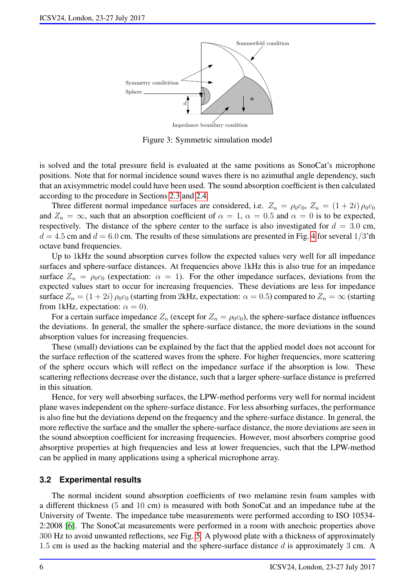<span id="page-5-0"></span>

Figure 3: Symmetric simulation model

is solved and the total pressure field is evaluated at the same positions as SonoCat's microphone positions. Note that for normal incidence sound waves there is no azimuthal angle dependency, such that an axisymmetric model could have been used. The sound absorption coefficient is then calculated according to the procedure in Sections [2.3](#page-2-3) and [2.4.](#page-3-4)

Three different normal impedance surfaces are considered, i.e.  $Z_n = \rho_0 c_0$ ,  $Z_n = (1 + 2i) \rho_0 c_0$ and  $Z_n = \infty$ , such that an absorption coefficient of  $\alpha = 1$ ,  $\alpha = 0.5$  and  $\alpha = 0$  is to be expected, respectively. The distance of the sphere center to the surface is also investigated for  $d = 3.0$  cm,  $d = 4.5$  $d = 4.5$  $d = 4.5$  cm and  $d = 6.0$  cm. The results of these simulations are presented in Fig. 4 for several 1/3'th octave band frequencies.

Up to 1kHz the sound absorption curves follow the expected values very well for all impedance surfaces and sphere-surface distances. At frequencies above 1kHz this is also true for an impedance surface  $Z_n = \rho_0 c_0$  (expectation:  $\alpha = 1$ ). For the other impedance surfaces, deviations from the expected values start to occur for increasing frequencies. These deviations are less for impedance surface  $Z_n = (1 + 2i) \rho_0 c_0$  (starting from 2kHz, expectation:  $\alpha = 0.5$ ) compared to  $Z_n = \infty$  (starting from 1kHz, expectation:  $\alpha = 0$ ).

For a certain surface impedance  $Z_n$  (except for  $Z_n = \rho_0 c_0$ ), the sphere-surface distance influences the deviations. In general, the smaller the sphere-surface distance, the more deviations in the sound absorption values for increasing frequencies.

These (small) deviations can be explained by the fact that the applied model does not account for the surface reflection of the scattered waves from the sphere. For higher frequencies, more scattering of the sphere occurs which will reflect on the impedance surface if the absorption is low. These scattering reflections decrease over the distance, such that a larger sphere-surface distance is preferred in this situation.

Hence, for very well absorbing surfaces, the LPW-method performs very well for normal incident plane waves independent on the sphere-surface distance. For less absorbing surfaces, the performance is also fine but the deviations depend on the frequency and the sphere-surface distance. In general, the more reflective the surface and the smaller the sphere-surface distance, the more deviations are seen in the sound absorption coefficient for increasing frequencies. However, most absorbers comprise good absorptive properties at high frequencies and less at lower frequencies, such that the LPW-method can be applied in many applications using a spherical microphone array.

#### **3.2 Experimental results**

The normal incident sound absorption coefficients of two melamine resin foam samples with a different thickness (5 and 10 cm) is measured with both SonoCat and an impedance tube at the University of Twente. The impedance tube measurements were performed according to ISO 10534- 2:2008 [\[6\]](#page-7-5). The SonoCat measurements were performed in a room with anechoic properties above 300 Hz to avoid unwanted reflections, see Fig. [5.](#page-6-1) A plywood plate with a thickness of approximately 1.5 cm is used as the backing material and the sphere-surface distance  $d$  is approximately 3 cm. A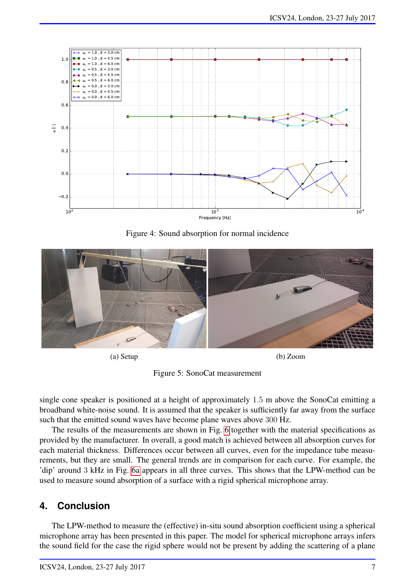<span id="page-6-2"></span>

Figure 4: Sound absorption for normal incidence

<span id="page-6-1"></span>

(a) Setup (b) Zoom

Figure 5: SonoCat measurement

single cone speaker is positioned at a height of approximately 1.5 m above the SonoCat emitting a broadband white-noise sound. It is assumed that the speaker is sufficiently far away from the surface such that the emitted sound waves have become plane waves above 300 Hz.

The results of the measurements are shown in Fig. [6](#page-7-9) together with the material specifications as provided by the manufacturer. In overall, a good match is achieved between all absorption curves for each material thickness. Differences occur between all curves, even for the impedance tube measurements, but they are small. The general trends are in comparison for each curve. For example, the 'dip' around 3 kHz in Fig. [6a](#page-7-9) appears in all three curves. This shows that the LPW-method can be used to measure sound absorption of a surface with a rigid spherical microphone array.

## <span id="page-6-0"></span>**4. Conclusion**

The LPW-method to measure the (effective) in-situ sound absorption coefficient using a spherical microphone array has been presented in this paper. The model for spherical microphone arrays infers the sound field for the case the rigid sphere would not be present by adding the scattering of a plane